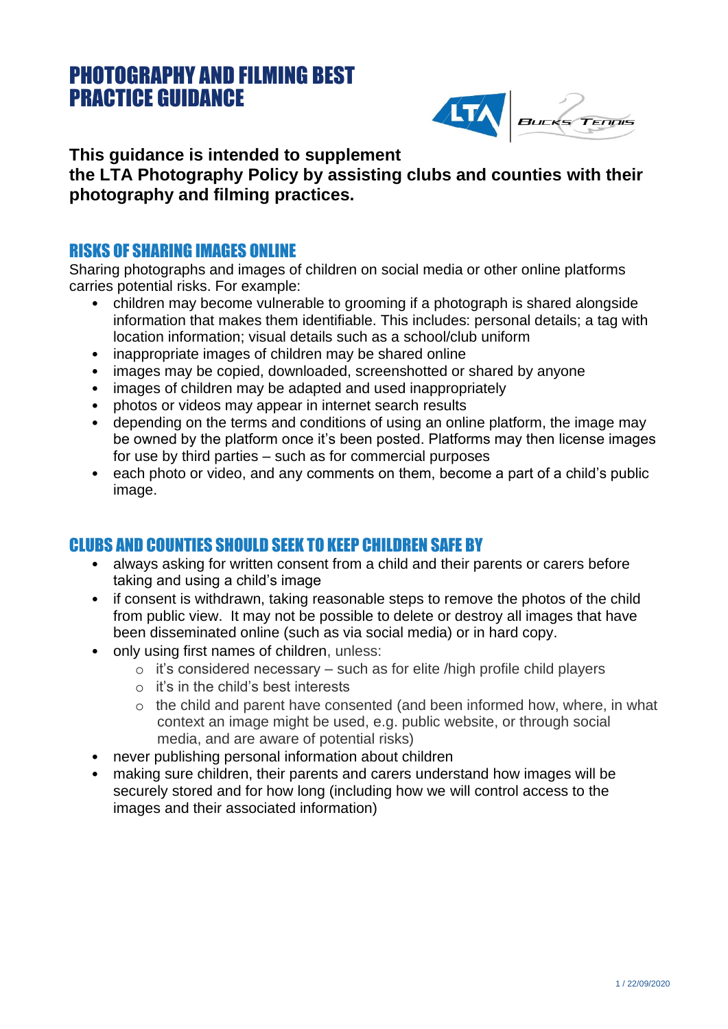# PHOTOGRAPHY AND FILMING BEST PRACTICE GUIDANCE



**This guidance is intended to supplement the LTA Photography Policy by assisting clubs and counties with their photography and filming practices.**

## RISKS OF SHARING IMAGES ONLINE

Sharing photographs and images of children on social media or other online platforms carries potential risks. For example:

- children may become vulnerable to grooming if a photograph is shared alongside information that makes them identifiable. This includes: personal details; a tag with location information; visual details such as a school/club uniform
- inappropriate images of children may be shared online
- images may be copied, downloaded, screenshotted or shared by anyone
- images of children may be adapted and used inappropriately
- photos or videos may appear in internet search results
- depending on the terms and conditions of using an online platform, the image may be owned by the platform once it's been posted. Platforms may then license images for use by third parties – such as for commercial purposes
- each photo or video, and any comments on them, become a part of a child's public image.

# CLUBS AND COUNTIES SHOULD SEEK TO KEEP CHILDREN SAFE BY

- always asking for written consent from a child and their parents or carers before taking and using a child's image
- if consent is withdrawn, taking reasonable steps to remove the photos of the child from public view. It may not be possible to delete or destroy all images that have been disseminated online (such as via social media) or in hard copy.
- only using first names of children, unless:
	- o it's considered necessary such as for elite /high profile child players
	- $\circ$  it's in the child's best interests
	- o the child and parent have consented (and been informed how, where, in what context an image might be used, e.g. public website, or through social media, and are aware of potential risks)
- never publishing personal information about children
- making sure children, their parents and carers understand how images will be securely stored and for how long (including how we will control access to the images and their associated information)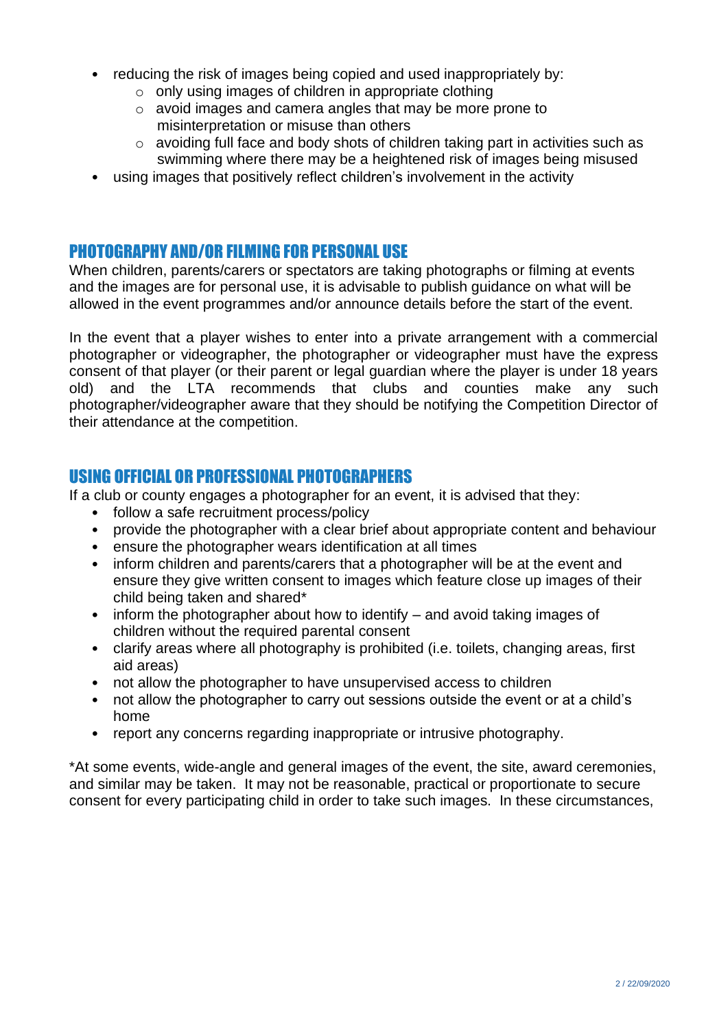- reducing the risk of images being copied and used inappropriately by:
	- o only using images of children in appropriate clothing
	- o avoid images and camera angles that may be more prone to misinterpretation or misuse than others
	- o avoiding full face and body shots of children taking part in activities such as swimming where there may be a heightened risk of images being misused
- using images that positively reflect children's involvement in the activity

### PHOTOGRAPHY AND/OR FILMING FOR PERSONAL USE

When children, parents/carers or spectators are taking photographs or filming at events and the images are for personal use, it is advisable to publish guidance on what will be allowed in the event programmes and/or announce details before the start of the event.

In the event that a player wishes to enter into a private arrangement with a commercial photographer or videographer, the photographer or videographer must have the express consent of that player (or their parent or legal guardian where the player is under 18 years old) and the LTA recommends that clubs and counties make any such photographer/videographer aware that they should be notifying the Competition Director of their attendance at the competition.

### USING OFFICIAL OR PROFESSIONAL PHOTOGRAPHERS

If a club or county engages a photographer for an event, it is advised that they:

- follow a safe recruitment process/policy
- provide the photographer with a clear brief about appropriate content and behaviour
- ensure the photographer wears identification at all times
- inform children and parents/carers that a photographer will be at the event and ensure they give written consent to images which feature close up images of their child being taken and shared\*
- inform the photographer about how to identify and avoid taking images of children without the required parental consent
- clarify areas where all photography is prohibited (i.e. toilets, changing areas, first aid areas)
- not allow the photographer to have unsupervised access to children
- not allow the photographer to carry out sessions outside the event or at a child's home
- report any concerns regarding inappropriate or intrusive photography.

\*At some events, wide-angle and general images of the event, the site, award ceremonies, and similar may be taken. It may not be reasonable, practical or proportionate to secure consent for every participating child in order to take such images. In these circumstances,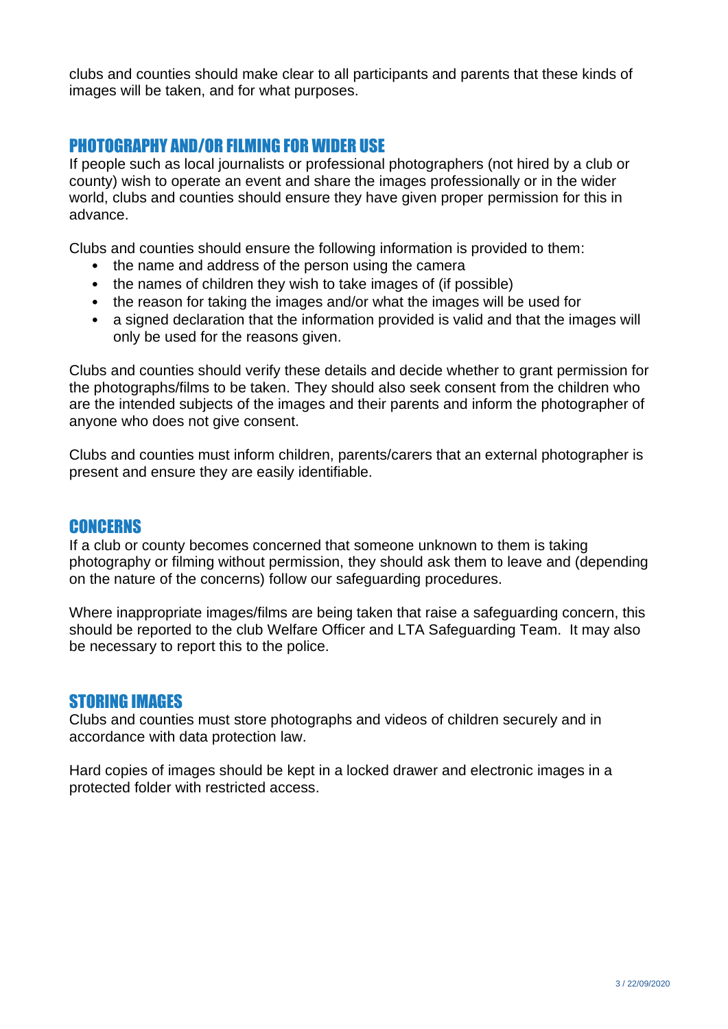clubs and counties should make clear to all participants and parents that these kinds of images will be taken, and for what purposes.

## PHOTOGRAPHY AND/OR FILMING FOR WIDER USE

If people such as local journalists or professional photographers (not hired by a club or county) wish to operate an event and share the images professionally or in the wider world, clubs and counties should ensure they have given proper permission for this in advance.

Clubs and counties should ensure the following information is provided to them:

- the name and address of the person using the camera
- the names of children they wish to take images of (if possible)
- the reason for taking the images and/or what the images will be used for
- a signed declaration that the information provided is valid and that the images will only be used for the reasons given.

Clubs and counties should verify these details and decide whether to grant permission for the photographs/films to be taken. They should also seek consent from the children who are the intended subjects of the images and their parents and inform the photographer of anyone who does not give consent.

Clubs and counties must inform children, parents/carers that an external photographer is present and ensure they are easily identifiable.

#### **CONCERNS**

If a club or county becomes concerned that someone unknown to them is taking photography or filming without permission, they should ask them to leave and (depending on the nature of the concerns) follow our safeguarding procedures.

Where inappropriate images/films are being taken that raise a safeguarding concern, this should be reported to the club Welfare Officer and LTA Safeguarding Team. It may also be necessary to report this to the police.

#### STORING IMAGES

Clubs and counties must store photographs and videos of children securely and in accordance with data protection law.

Hard copies of images should be kept in a locked drawer and electronic images in a protected folder with restricted access.